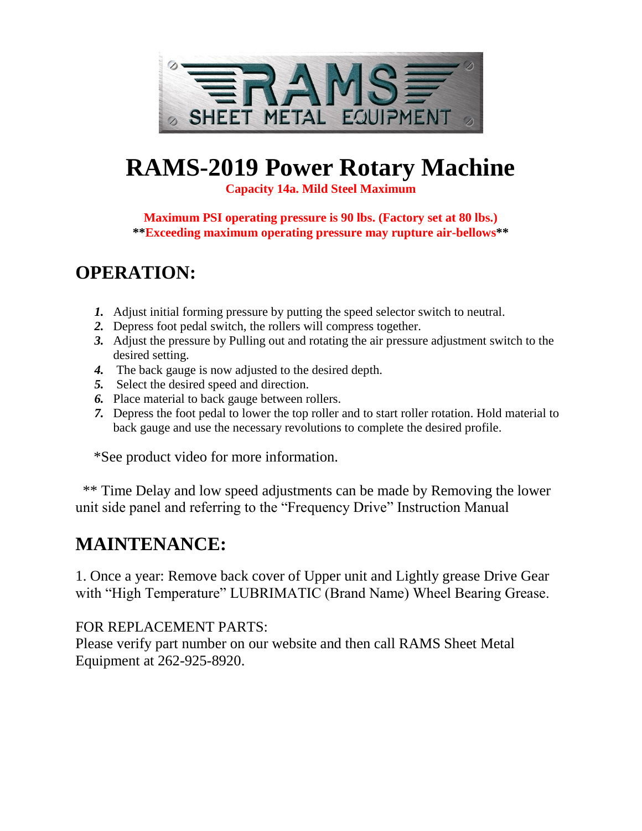

# **RAMS-2019 Power Rotary Machine**

**Capacity 14a. Mild Steel Maximum**

**Maximum PSI operating pressure is 90 lbs. (Factory set at 80 lbs.) \*\*Exceeding maximum operating pressure may rupture air-bellows\*\***

## **OPERATION:**

- *1.* Adjust initial forming pressure by putting the speed selector switch to neutral.
- *2.* Depress foot pedal switch, the rollers will compress together.
- *3.* Adjust the pressure by Pulling out and rotating the air pressure adjustment switch to the desired setting.
- *4.* The back gauge is now adjusted to the desired depth.
- *5.* Select the desired speed and direction.
- *6.* Place material to back gauge between rollers.
- *7.* Depress the foot pedal to lower the top roller and to start roller rotation. Hold material to back gauge and use the necessary revolutions to complete the desired profile.

\*See product video for more information.

 \*\* Time Delay and low speed adjustments can be made by Removing the lower unit side panel and referring to the "Frequency Drive" Instruction Manual

## **MAINTENANCE:**

1. Once a year: Remove back cover of Upper unit and Lightly grease Drive Gear with "High Temperature" LUBRIMATIC (Brand Name) Wheel Bearing Grease.

#### FOR REPLACEMENT PARTS:

Please verify part number on our website and then call RAMS Sheet Metal Equipment at 262-925-8920.